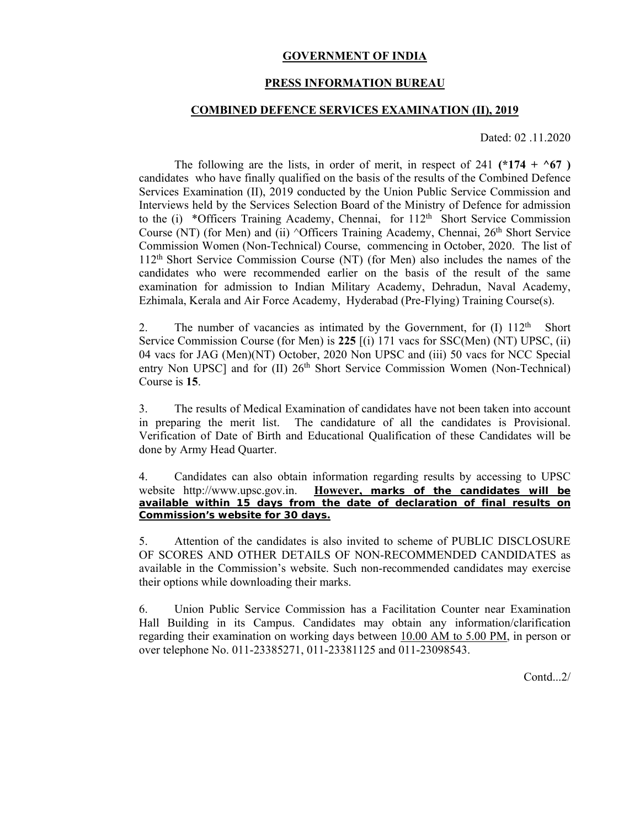### **GOVERNMENT OF INDIA**

### **PRESS INFORMATION BUREAU**

### **COMBINED DEFENCE SERVICES EXAMINATION (II), 2019**

Dated: 02 .11.2020

The following are the lists, in order of merit, in respect of 241  $(*174 + ^667)$ candidates who have finally qualified on the basis of the results of the Combined Defence Services Examination (II), 2019 conducted by the Union Public Service Commission and Interviews held by the Services Selection Board of the Ministry of Defence for admission to the (i) \*Officers Training Academy, Chennai, for 112<sup>th</sup> Short Service Commission Course (NT) (for Men) and (ii)  $\triangle$ Officers Training Academy, Chennai, 26<sup>th</sup> Short Service Commission Women (Non-Technical) Course, commencing in October, 2020. The list of 112th Short Service Commission Course (NT) (for Men) also includes the names of the candidates who were recommended earlier on the basis of the result of the same examination for admission to Indian Military Academy, Dehradun, Naval Academy, Ezhimala, Kerala and Air Force Academy, Hyderabad (Pre-Flying) Training Course(s).

2. The number of vacancies as intimated by the Government, for  $(I)$  112<sup>th</sup> Short Service Commission Course (for Men) is **225** [(i) 171 vacs for SSC(Men) (NT) UPSC, (ii) 04 vacs for JAG (Men)(NT) October, 2020 Non UPSC and (iii) 50 vacs for NCC Special entry Non UPSC] and for (II) 26<sup>th</sup> Short Service Commission Women (Non-Technical) Course is **15**.

3. The results of Medical Examination of candidates have not been taken into account in preparing the merit list. The candidature of all the candidates is Provisional. Verification of Date of Birth and Educational Qualification of these Candidates will be done by Army Head Quarter.

4. Candidates can also obtain information regarding results by accessing to UPSC website http://www.upsc.gov.in. **However, marks of the candidates will be available within 15 days from the date of declaration of final results on Commission's website for 30 days.**

5. Attention of the candidates is also invited to scheme of PUBLIC DISCLOSURE OF SCORES AND OTHER DETAILS OF NON-RECOMMENDED CANDIDATES as available in the Commission's website. Such non-recommended candidates may exercise their options while downloading their marks.

6. Union Public Service Commission has a Facilitation Counter near Examination Hall Building in its Campus. Candidates may obtain any information/clarification regarding their examination on working days between 10.00 AM to 5.00 PM, in person or over telephone No. 011-23385271, 011-23381125 and 011-23098543.

Contd<sub>...</sub>2/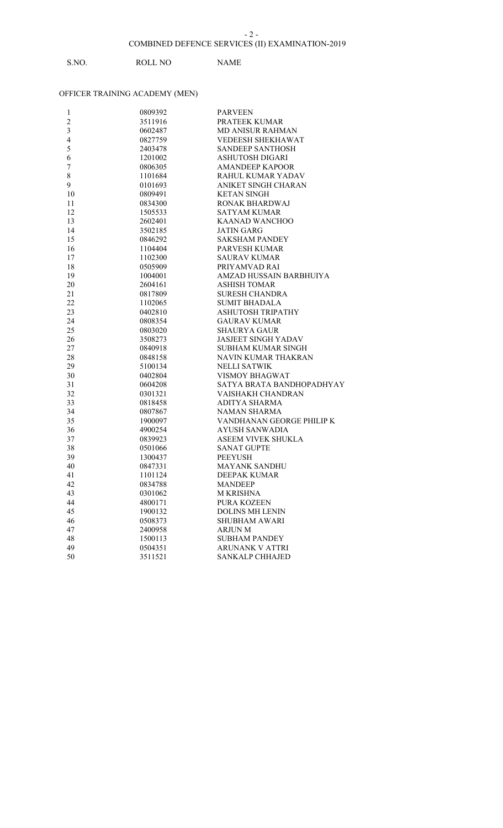# S.NO. ROLL NO NAME

| 1                       | 0809392 | <b>PARVEEN</b>             |
|-------------------------|---------|----------------------------|
| $\boldsymbol{2}$        | 3511916 | PRATEEK KUMAR              |
| $\overline{\mathbf{3}}$ | 0602487 | <b>MD ANISUR RAHMAN</b>    |
| $\overline{\mathbf{4}}$ | 0827759 | <b>VEDEESH SHEKHAWAT</b>   |
| 5                       | 2403478 | <b>SANDEEP SANTHOSH</b>    |
| 6                       | 1201002 | ASHUTOSH DIGARI            |
| $\boldsymbol{7}$        | 0806305 | <b>AMANDEEP KAPOOR</b>     |
| $\,$ $\,$               | 1101684 | RAHUL KUMAR YADAV          |
| 9                       | 0101693 | ANIKET SINGH CHARAN        |
| 10                      | 0809491 | <b>KETAN SINGH</b>         |
| 11                      | 0834300 | RONAK BHARDWAJ             |
| 12                      | 1505533 | <b>SATYAM KUMAR</b>        |
| 13                      | 2602401 | <b>KAANAD WANCHOO</b>      |
| 14                      | 3502185 | <b>JATIN GARG</b>          |
| 15                      | 0846292 | <b>SAKSHAM PANDEY</b>      |
| 16                      | 1104404 | PARVESH KUMAR              |
| 17                      | 1102300 | <b>SAURAV KUMAR</b>        |
| 18                      | 0505909 | PRIYAMVAD RAI              |
| 19                      | 1004001 | AMZAD HUSSAIN BARBHUIYA    |
| 20                      | 2604161 | <b>ASHISH TOMAR</b>        |
| 21                      | 0817809 | <b>SURESH CHANDRA</b>      |
| 22                      | 1102065 | <b>SUMIT BHADALA</b>       |
| 23                      | 0402810 | ASHUTOSH TRIPATHY          |
| 24                      | 0808354 | <b>GAURAV KUMAR</b>        |
| 25                      | 0803020 | <b>SHAURYA GAUR</b>        |
| 26                      | 3508273 | <b>JASJEET SINGH YADAV</b> |
| 27                      | 0840918 | <b>SUBHAM KUMAR SINGH</b>  |
| 28                      | 0848158 | NAVIN KUMAR THAKRAN        |
| 29                      | 5100134 | <b>NELLI SATWIK</b>        |
| 30                      | 0402804 | VISMOY BHAGWAT             |
| 31                      | 0604208 | SATYA BRATA BANDHOPADHYAY  |
| 32                      | 0301321 | VAISHAKH CHANDRAN          |
| 33                      | 0818458 | ADITYA SHARMA              |
| 34                      | 0807867 | <b>NAMAN SHARMA</b>        |
| 35                      | 1900097 | VANDHANAN GEORGE PHILIP K  |
| 36                      | 4900254 | AYUSH SANWADIA             |
| 37                      | 0839923 | ASEEM VIVEK SHUKLA         |
| 38                      | 0501066 | <b>SANAT GUPTE</b>         |
| 39                      | 1300437 | <b>PEEYUSH</b>             |
| 40                      | 0847331 | <b>MAYANK SANDHU</b>       |
| 41                      | 1101124 | <b>DEEPAK KUMAR</b>        |
| 42                      | 0834788 | <b>MANDEEP</b>             |
| 43                      | 0301062 | <b>M KRISHNA</b>           |
| 44                      | 4800171 | PURA KOZEEN                |
| 45                      | 1900132 | <b>DOLINS MH LENIN</b>     |
| 46                      | 0508373 | <b>SHUBHAM AWARI</b>       |
| 47                      | 2400958 | ARJUN M                    |
| 48                      | 1500113 | <b>SUBHAM PANDEY</b>       |
| 49                      | 0504351 | <b>ARUNANK V ATTRI</b>     |
| 50                      | 3511521 | <b>SANKALP CHHAJED</b>     |
|                         |         |                            |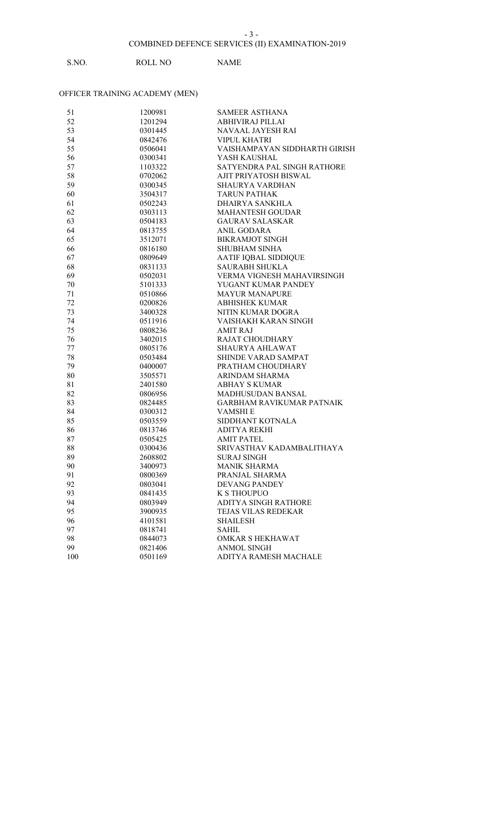# S.NO. ROLL NO NAME

| 51  | 1200981 | <b>SAMEER ASTHANA</b>            |
|-----|---------|----------------------------------|
| 52  | 1201294 | <b>ABHIVIRAJ PILLAI</b>          |
| 53  | 0301445 | NAVAAL JAYESH RAI                |
| 54  | 0842476 | <b>VIPUL KHATRI</b>              |
| 55  | 0506041 | VAISHAMPAYAN SIDDHARTH GIRISH    |
| 56  | 0300341 | YASH KAUSHAL                     |
| 57  | 1103322 | SATYENDRA PAL SINGH RATHORE      |
| 58  | 0702062 | AJIT PRIYATOSH BISWAL            |
| 59  | 0300345 | <b>SHAURYA VARDHAN</b>           |
| 60  | 3504317 | <b>TARUN PATHAK</b>              |
| 61  | 0502243 | DHAIRYA SANKHLA                  |
| 62  | 0303113 | <b>MAHANTESH GOUDAR</b>          |
| 63  | 0504183 | <b>GAURAV SALASKAR</b>           |
| 64  | 0813755 | <b>ANIL GODARA</b>               |
| 65  | 3512071 | <b>BIKRAMJOT SINGH</b>           |
| 66  | 0816180 | <b>SHUBHAM SINHA</b>             |
| 67  | 0809649 | AATIF IQBAL SIDDIQUE             |
| 68  | 0831133 | <b>SAURABH SHUKLA</b>            |
| 69  | 0502031 | VERMA VIGNESH MAHAVIRSINGH       |
| 70  | 5101333 | YUGANT KUMAR PANDEY              |
| 71  | 0510866 | <b>MAYUR MANAPURE</b>            |
| 72  | 0200826 | <b>ABHISHEK KUMAR</b>            |
| 73  | 3400328 | NITIN KUMAR DOGRA                |
| 74  | 0511916 | VAISHAKH KARAN SINGH             |
| 75  | 0808236 | <b>AMIT RAJ</b>                  |
| 76  | 3402015 | RAJAT CHOUDHARY                  |
| 77  | 0805176 | SHAURYA AHLAWAT                  |
| 78  | 0503484 | SHINDE VARAD SAMPAT              |
| 79  | 0400007 | PRATHAM CHOUDHARY                |
| 80  | 3505571 | ARINDAM SHARMA                   |
| 81  | 2401580 | <b>ABHAY S KUMAR</b>             |
| 82  | 0806956 | <b>MADHUSUDAN BANSAL</b>         |
| 83  | 0824485 | <b>GARBHAM RAVIKUMAR PATNAIK</b> |
| 84  | 0300312 | <b>VAMSHIE</b>                   |
| 85  | 0503559 | SIDDHANT KOTNALA                 |
| 86  | 0813746 | <b>ADITYA REKHI</b>              |
| 87  | 0505425 | <b>AMIT PATEL</b>                |
| 88  | 0300436 | SRIVASTHAV KADAMBALITHAYA        |
| 89  | 2608802 | SURAJ SINGH                      |
| 90  | 3400973 | <b>MANIK SHARMA</b>              |
| 91  | 0800369 | PRANJAL SHARMA                   |
| 92  | 0803041 | <b>DEVANG PANDEY</b>             |
| 93  | 0841435 | <b>K S THOUPUO</b>               |
| 94  | 0803949 | ADITYA SINGH RATHORE             |
| 95  | 3900935 | TEJAS VILAS REDEKAR              |
| 96  | 4101581 | <b>SHAILESH</b>                  |
| 97  | 0818741 | SAHIL                            |
| 98  | 0844073 | OMKAR S HEKHAWAT                 |
| 99  | 0821406 | <b>ANMOL SINGH</b>               |
| 100 | 0501169 | ADITYA RAMESH MACHALE            |
|     |         |                                  |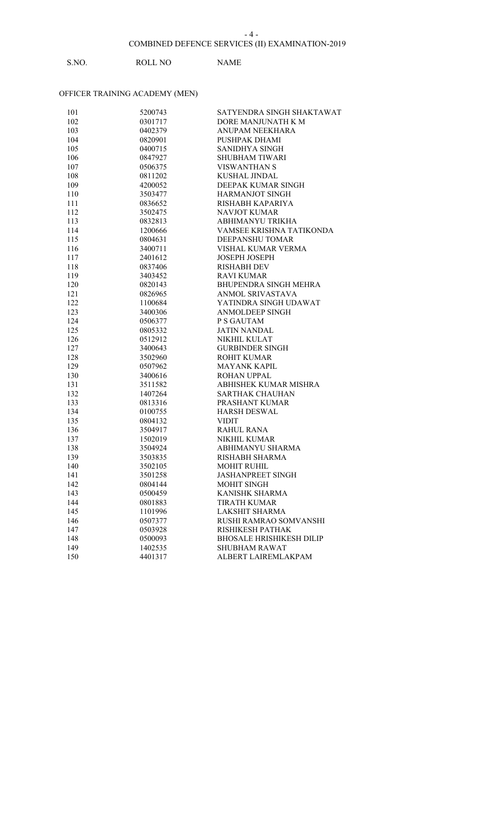# S.NO. ROLL NO NAME

| 101 | 5200743 | SATYENDRA SINGH SHAKTAWAT       |
|-----|---------|---------------------------------|
| 102 | 0301717 | DORE MANJUNATH K M              |
| 103 | 0402379 | ANUPAM NEEKHARA                 |
| 104 | 0820901 | PUSHPAK DHAMI                   |
| 105 | 0400715 | SANIDHYA SINGH                  |
| 106 | 0847927 | <b>SHUBHAM TIWARI</b>           |
| 107 | 0506375 | <b>VISWANTHAN S</b>             |
| 108 | 0811202 | <b>KUSHAL JINDAL</b>            |
| 109 | 4200052 | DEEPAK KUMAR SINGH              |
| 110 | 3503477 | <b>HARMANJOT SINGH</b>          |
| 111 | 0836652 | RISHABH KAPARIYA                |
| 112 | 3502475 | <b>NAVJOT KUMAR</b>             |
| 113 | 0832813 | ABHIMANYU TRIKHA                |
| 114 | 1200666 | VAMSEE KRISHNA TATIKONDA        |
| 115 | 0804631 | DEEPANSHU TOMAR                 |
| 116 | 3400711 | VISHAL KUMAR VERMA              |
| 117 | 2401612 | <b>JOSEPH JOSEPH</b>            |
| 118 | 0837406 | <b>RISHABH DEV</b>              |
| 119 | 3403452 | <b>RAVI KUMAR</b>               |
| 120 | 0820143 | BHUPENDRA SINGH MEHRA           |
| 121 | 0826965 | ANMOL SRIVASTAVA                |
| 122 | 1100684 | YATINDRA SINGH UDAWAT           |
| 123 | 3400306 | <b>ANMOLDEEP SINGH</b>          |
| 124 | 0506377 | P S GAUTAM                      |
| 125 | 0805332 | <b>JATIN NANDAL</b>             |
| 126 | 0512912 | NIKHIL KULAT                    |
| 127 | 3400643 | <b>GURBINDER SINGH</b>          |
| 128 | 3502960 | <b>ROHIT KUMAR</b>              |
| 129 | 0507962 | <b>MAYANK KAPIL</b>             |
| 130 | 3400616 | ROHAN UPPAL                     |
| 131 | 3511582 | ABHISHEK KUMAR MISHRA           |
| 132 | 1407264 | <b>SARTHAK CHAUHAN</b>          |
| 133 | 0813316 | PRASHANT KUMAR                  |
| 134 | 0100755 | <b>HARSH DESWAL</b>             |
| 135 | 0804132 | <b>VIDIT</b>                    |
| 136 | 3504917 | <b>RAHUL RANA</b>               |
| 137 | 1502019 | <b>NIKHIL KUMAR</b>             |
| 138 | 3504924 | ABHIMANYU SHARMA                |
| 139 | 3503835 | RISHABH SHARMA                  |
| 140 | 3502105 | <b>MOHIT RUHIL</b>              |
| 141 | 3501258 | <b>JASHANPREET SINGH</b>        |
| 142 | 0804144 | <b>MOHIT SINGH</b>              |
| 143 | 0500459 | <b>KANISHK SHARMA</b>           |
| 144 | 0801883 | <b>TIRATH KUMAR</b>             |
| 145 | 1101996 | <b>LAKSHIT SHARMA</b>           |
| 146 | 0507377 | RUSHI RAMRAO SOMVANSHI          |
| 147 | 0503928 | RISHIKESH PATHAK                |
| 148 | 0500093 | <b>BHOSALE HRISHIKESH DILIP</b> |
| 149 | 1402535 | <b>SHUBHAM RAWAT</b>            |
| 150 | 4401317 | ALBERT LAIREMLAKPAM             |
|     |         |                                 |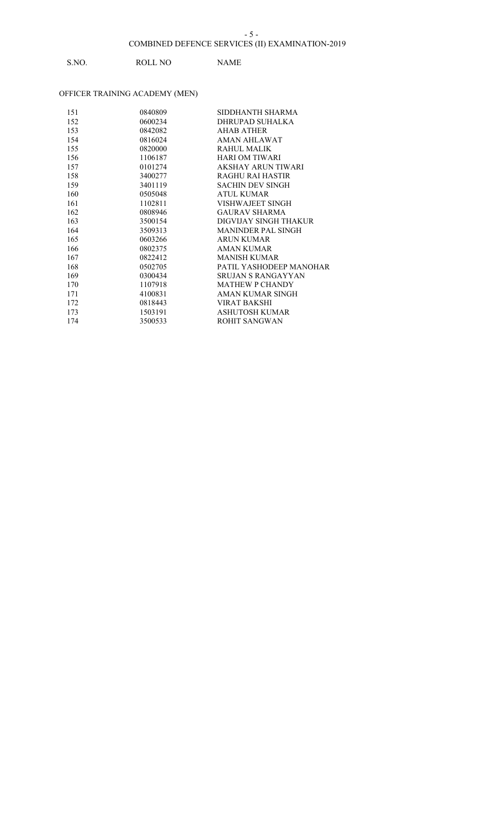# S.NO. ROLL NO NAME

| 151 | 0840809 | SIDDHANTH SHARMA          |
|-----|---------|---------------------------|
| 152 | 0600234 | DHRUPAD SUHALKA           |
| 153 | 0842082 | AHAB ATHER                |
| 154 | 0816024 | AMAN AHLAWAT              |
| 155 | 0820000 | RAHUL MALIK               |
| 156 | 1106187 | <b>HARI OM TIWARI</b>     |
| 157 | 0101274 | AKSHAY ARUN TIWARI        |
| 158 | 3400277 | <b>RAGHU RAI HASTIR</b>   |
| 159 | 3401119 | <b>SACHIN DEV SINGH</b>   |
| 160 | 0505048 | <b>ATUL KUMAR</b>         |
| 161 | 1102811 | VISHWAJEET SINGH          |
| 162 | 0808946 | <b>GAURAV SHARMA</b>      |
| 163 | 3500154 | DIGVIJAY SINGH THAKUR     |
| 164 | 3509313 | <b>MANINDER PAL SINGH</b> |
| 165 | 0603266 | <b>ARUN KUMAR</b>         |
| 166 | 0802375 | AMAN KUMAR                |
| 167 | 0822412 | <b>MANISH KUMAR</b>       |
| 168 | 0502705 | PATIL YASHODEEP MANOHAR   |
| 169 | 0300434 | <b>SRUJAN S RANGAYYAN</b> |
| 170 | 1107918 | <b>MATHEW P CHANDY</b>    |
| 171 | 4100831 | AMAN KUMAR SINGH          |
| 172 | 0818443 | <b>VIRAT BAKSHI</b>       |
| 173 | 1503191 | ASHUTOSH KUMAR            |
| 174 | 3500533 | ROHIT SANGWAN             |
|     |         |                           |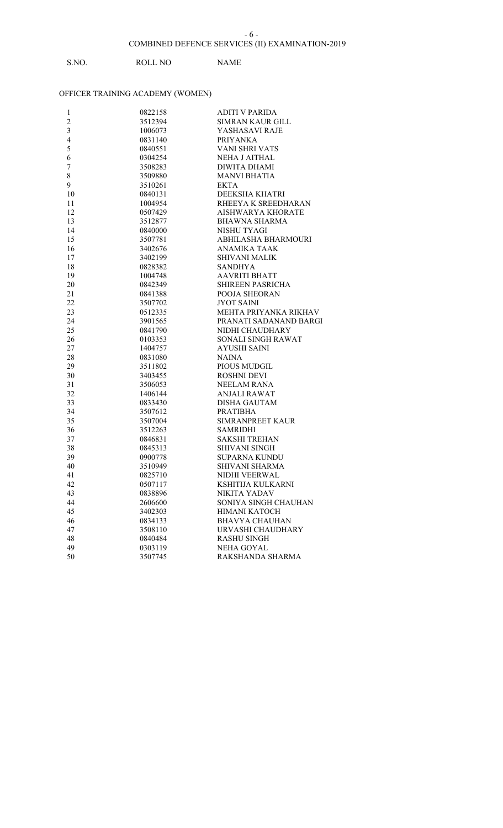# S.NO. ROLL NO NAME

| $\mathbf{1}$            | 0822158 | <b>ADITI V PARIDA</b>    |
|-------------------------|---------|--------------------------|
| $\boldsymbol{2}$        | 3512394 | <b>SIMRAN KAUR GILL</b>  |
| $\overline{\mathbf{3}}$ | 1006073 | YASHASAVI RAJE           |
| $\overline{\mathbf{4}}$ | 0831140 | PRIYANKA                 |
| 5                       | 0840551 | <b>VANI SHRI VATS</b>    |
| 6                       | 0304254 | NEHA J AITHAL            |
| $\boldsymbol{7}$        | 3508283 | <b>DIWITA DHAMI</b>      |
| 8                       | 3509880 | <b>MANVI BHATIA</b>      |
| 9                       | 3510261 | EKTA                     |
| 10                      | 0840131 | DEEKSHA KHATRI           |
| 11                      | 1004954 | RHEEYA K SREEDHARAN      |
| 12                      | 0507429 | <b>AISHWARYA KHORATE</b> |
| 13                      | 3512877 | <b>BHAWNA SHARMA</b>     |
| 14                      | 0840000 | NISHU TYAGI              |
| 15                      | 3507781 | ABHILASHA BHARMOURI      |
| 16                      | 3402676 | <b>ANAMIKA TAAK</b>      |
| 17                      | 3402199 | <b>SHIVANI MALIK</b>     |
| 18                      | 0828382 | <b>SANDHYA</b>           |
| 19                      | 1004748 | <b>AAVRITI BHATT</b>     |
| 20                      | 0842349 | SHIREEN PASRICHA         |
| 21                      | 0841388 | POOJA SHEORAN            |
| 22                      | 3507702 | <b>JYOT SAINI</b>        |
| 23                      | 0512335 | MEHTA PRIYANKA RIKHAV    |
| 24                      | 3901565 | PRANATI SADANAND BARGI   |
| 25                      | 0841790 | NIDHI CHAUDHARY          |
| 26                      | 0103353 | SONALI SINGH RAWAT       |
| 27                      | 1404757 | <b>AYUSHI SAINI</b>      |
| 28                      | 0831080 | <b>NAINA</b>             |
| 29                      | 3511802 | PIOUS MUDGIL             |
| 30                      | 3403455 | <b>ROSHNI DEVI</b>       |
| 31                      | 3506053 | NEELAM RANA              |
| 32                      | 1406144 | <b>ANJALI RAWAT</b>      |
| 33                      | 0833430 | <b>DISHA GAUTAM</b>      |
| 34                      | 3507612 | PRATIBHA                 |
| 35                      | 3507004 | SIMRANPREET KAUR         |
| 36                      | 3512263 | SAMRIDHI                 |
| 37                      | 0846831 | <b>SAKSHI TREHAN</b>     |
| 38                      | 0845313 | <b>SHIVANI SINGH</b>     |
| 39                      | 0900778 | <b>SUPARNA KUNDU</b>     |
| 40                      | 3510949 | SHIVANI SHARMA           |
| 41                      | 0825710 | NIDHI VEERWAL            |
| 42                      | 0507117 | KSHITIJA KULKARNI        |
| 43                      | 0838896 | NIKITA YADAV             |
| 44                      | 2606600 | SONIYA SINGH CHAUHAN     |
| 45                      | 3402303 | HIMANI KATOCH            |
| 46                      | 0834133 | <b>BHAVYA CHAUHAN</b>    |
| 47                      | 3508110 | URVASHI CHAUDHARY        |
| 48                      | 0840484 | <b>RASHU SINGH</b>       |
| 49                      | 0303119 | <b>NEHA GOYAL</b>        |
| 50                      | 3507745 | RAKSHANDA SHARMA         |
|                         |         |                          |